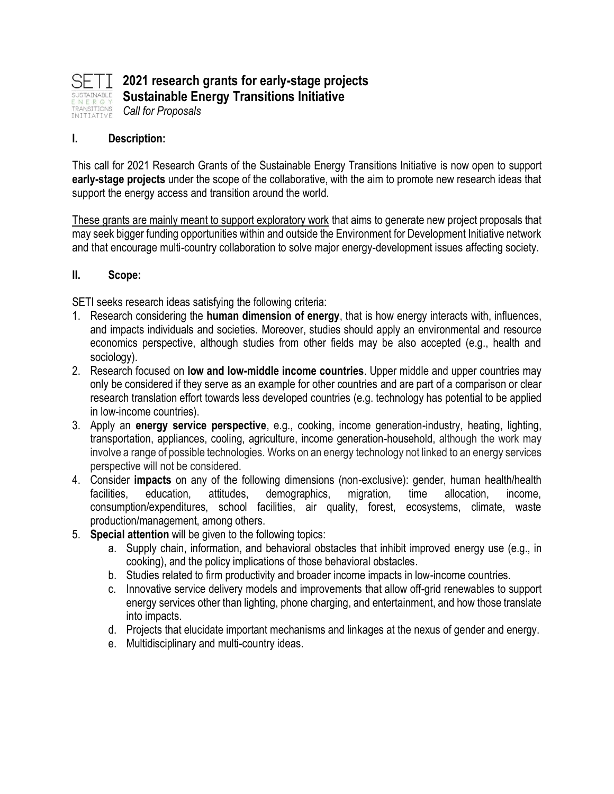

#### **I. Description:**

This call for 2021 Research Grants of the Sustainable Energy Transitions Initiative is now open to support **early-stage projects** under the scope of the collaborative, with the aim to promote new research ideas that support the energy access and transition around the world.

These grants are mainly meant to support exploratory work that aims to generate new project proposals that may seek bigger funding opportunities within and outside the Environment for Development Initiative network and that encourage multi-country collaboration to solve major energy-development issues affecting society.

#### **II. Scope:**

SETI seeks research ideas satisfying the following criteria:

- 1. Research considering the **human dimension of energy**, that is how energy interacts with, influences, and impacts individuals and societies. Moreover, studies should apply an environmental and resource economics perspective, although studies from other fields may be also accepted (e.g., health and sociology).
- 2. Research focused on **low and low-middle income countries**. Upper middle and upper countries may only be considered if they serve as an example for other countries and are part of a comparison or clear research translation effort towards less developed countries (e.g. technology has potential to be applied in low-income countries).
- 3. Apply an **energy service perspective**, e.g., cooking, income generation-industry, heating, lighting, transportation, appliances, cooling, agriculture, income generation-household, although the work may involve a range of possible technologies. Works on an energy technology not linked to an energy services perspective will not be considered.
- 4. Consider **impacts** on any of the following dimensions (non-exclusive): gender, human health/health facilities, education, attitudes, demographics, migration, time allocation, income, consumption/expenditures, school facilities, air quality, forest, ecosystems, climate, waste production/management, among others.
- 5. **Special attention** will be given to the following topics:
	- a. Supply chain, information, and behavioral obstacles that inhibit improved energy use (e.g., in cooking), and the policy implications of those behavioral obstacles.
	- b. Studies related to firm productivity and broader income impacts in low-income countries.
	- c. Innovative service delivery models and improvements that allow off-grid renewables to support energy services other than lighting, phone charging, and entertainment, and how those translate into impacts.
	- d. Projects that elucidate important mechanisms and linkages at the nexus of gender and energy.
	- e. Multidisciplinary and multi-country ideas.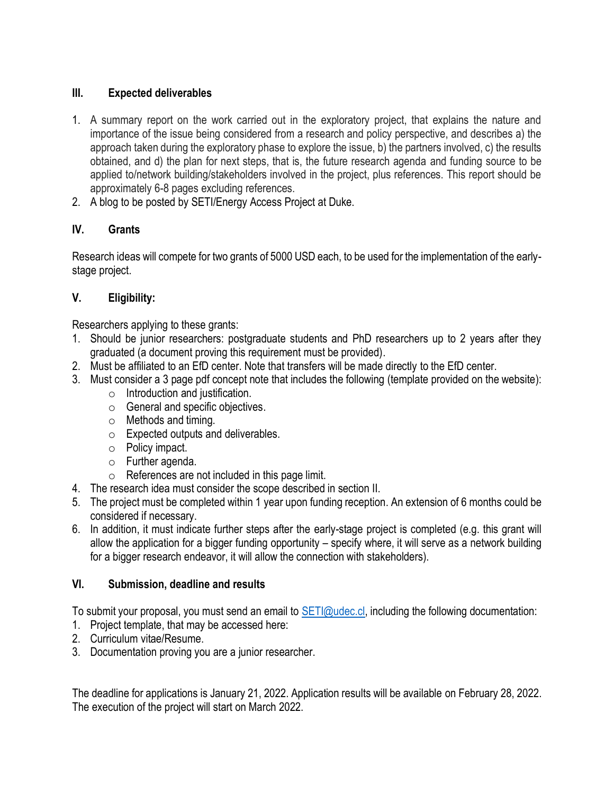### **III. Expected deliverables**

- 1. A summary report on the work carried out in the exploratory project, that explains the nature and importance of the issue being considered from a research and policy perspective, and describes a) the approach taken during the exploratory phase to explore the issue, b) the partners involved, c) the results obtained, and d) the plan for next steps, that is, the future research agenda and funding source to be applied to/network building/stakeholders involved in the project, plus references. This report should be approximately 6-8 pages excluding references.
- 2. A blog to be posted by SETI/Energy Access Project at Duke.

# **IV. Grants**

Research ideas will compete for two grants of 5000 USD each, to be used for the implementation of the earlystage project.

## **V. Eligibility:**

Researchers applying to these grants:

- 1. Should be junior researchers: postgraduate students and PhD researchers up to 2 years after they graduated (a document proving this requirement must be provided).
- 2. Must be affiliated to an EfD center. Note that transfers will be made directly to the EfD center.
- 3. Must consider a 3 page pdf concept note that includes the following (template provided on the website):
	- o Introduction and justification.
	- o General and specific objectives.
	- o Methods and timing.
	- o Expected outputs and deliverables.
	- o Policy impact.
	- o Further agenda.
	- o References are not included in this page limit.
- 4. The research idea must consider the scope described in section II.
- 5. The project must be completed within 1 year upon funding reception. An extension of 6 months could be considered if necessary.
- 6. In addition, it must indicate further steps after the early-stage project is completed (e.g. this grant will allow the application for a bigger funding opportunity – specify where, it will serve as a network building for a bigger research endeavor, it will allow the connection with stakeholders).

## **VI. Submission, deadline and results**

To submit your proposal, you must send an email to **SETI@udec.cl, including the following documentation:** 

- 1. Project template, that may be accessed here:
- 2. Curriculum vitae/Resume.
- 3. Documentation proving you are a junior researcher.

The deadline for applications is January 21, 2022. Application results will be available on February 28, 2022. The execution of the project will start on March 2022.